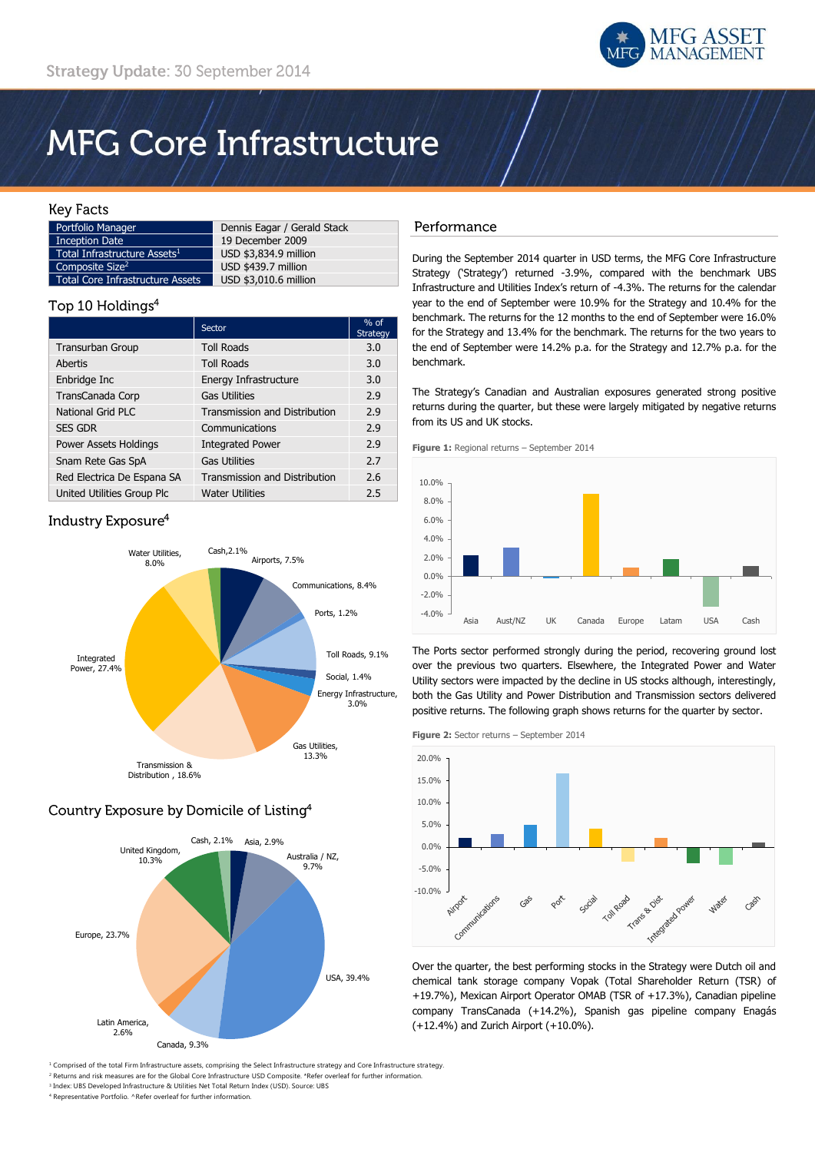

# **MFG Core Infrastructure**

## **Key Facts**

| Portfolio Manager                        | Dennis Eagar / Gerald Stack |
|------------------------------------------|-----------------------------|
| <b>Inception Date</b>                    | 19 December 2009            |
| Total Infrastructure Assets <sup>1</sup> | USD \$3,834.9 million       |
| Composite Size <sup>2</sup>              | USD \$439.7 million         |
| <b>Total Core Infrastructure Assets</b>  | USD \$3,010.6 million       |

# Top 10 Holdings<sup>4</sup>

|                            | Sector                               | $%$ of<br><b>Strategy</b> |
|----------------------------|--------------------------------------|---------------------------|
| <b>Transurban Group</b>    | <b>Toll Roads</b>                    | 3.0                       |
| Abertis                    | <b>Toll Roads</b>                    | 3.0                       |
| Enbridge Inc               | Energy Infrastructure                | 3.0                       |
| TransCanada Corp           | <b>Gas Utilities</b>                 | 2.9                       |
| <b>National Grid PLC</b>   | <b>Transmission and Distribution</b> | 2.9                       |
| <b>SES GDR</b>             | Communications                       | 2.9                       |
| Power Assets Holdings      | <b>Integrated Power</b>              | 2.9                       |
| Snam Rete Gas SpA          | <b>Gas Utilities</b>                 | 2.7                       |
| Red Electrica De Espana SA | <b>Transmission and Distribution</b> | 2.6                       |
| United Utilities Group Plc | <b>Water Utilities</b>               | 2.5                       |

# Industry Exposure<sup>4</sup>



# Country Exposure by Domicile of Listing<sup>4</sup>



#### <sup>1</sup> Comprised of the total Firm Infrastructure assets, comprising the Select Infrastructure strategy and Core Infrastructure strategy <sup>2</sup> Returns and risk measures are for the Global Core Infrastructure USD Composite. \*Refer overleaf for further information.

3 Index: UBS Developed Infrastructure & Utilities Net Total Return Index (USD). Source: UBS <sup>4</sup> Representative Portfolio. ^Refer overleaf for further information.

## Performance

During the September 2014 quarter in USD terms, the MFG Core Infrastructure Strategy ('Strategy') returned -3.9%, compared with the benchmark UBS Infrastructure and Utilities Index's return of -4.3%. The returns for the calendar year to the end of September were 10.9% for the Strategy and 10.4% for the benchmark. The returns for the 12 months to the end of September were 16.0% for the Strategy and 13.4% for the benchmark. The returns for the two years to the end of September were 14.2% p.a. for the Strategy and 12.7% p.a. for the benchmark.

The Strategy's Canadian and Australian exposures generated strong positive returns during the quarter, but these were largely mitigated by negative returns from its US and UK stocks.

**Figure 1:** Regional returns – September 2014



The Ports sector performed strongly during the period, recovering ground lost over the previous two quarters. Elsewhere, the Integrated Power and Water Utility sectors were impacted by the decline in US stocks although, interestingly, both the Gas Utility and Power Distribution and Transmission sectors delivered positive returns. The following graph shows returns for the quarter by sector.

**Figure 2:** Sector returns – September 2014



Over the quarter, the best performing stocks in the Strategy were Dutch oil and chemical tank storage company Vopak (Total Shareholder Return (TSR) of +19.7%), Mexican Airport Operator OMAB (TSR of +17.3%), Canadian pipeline company TransCanada (+14.2%), Spanish gas pipeline company Enagás (+12.4%) and Zurich Airport (+10.0%).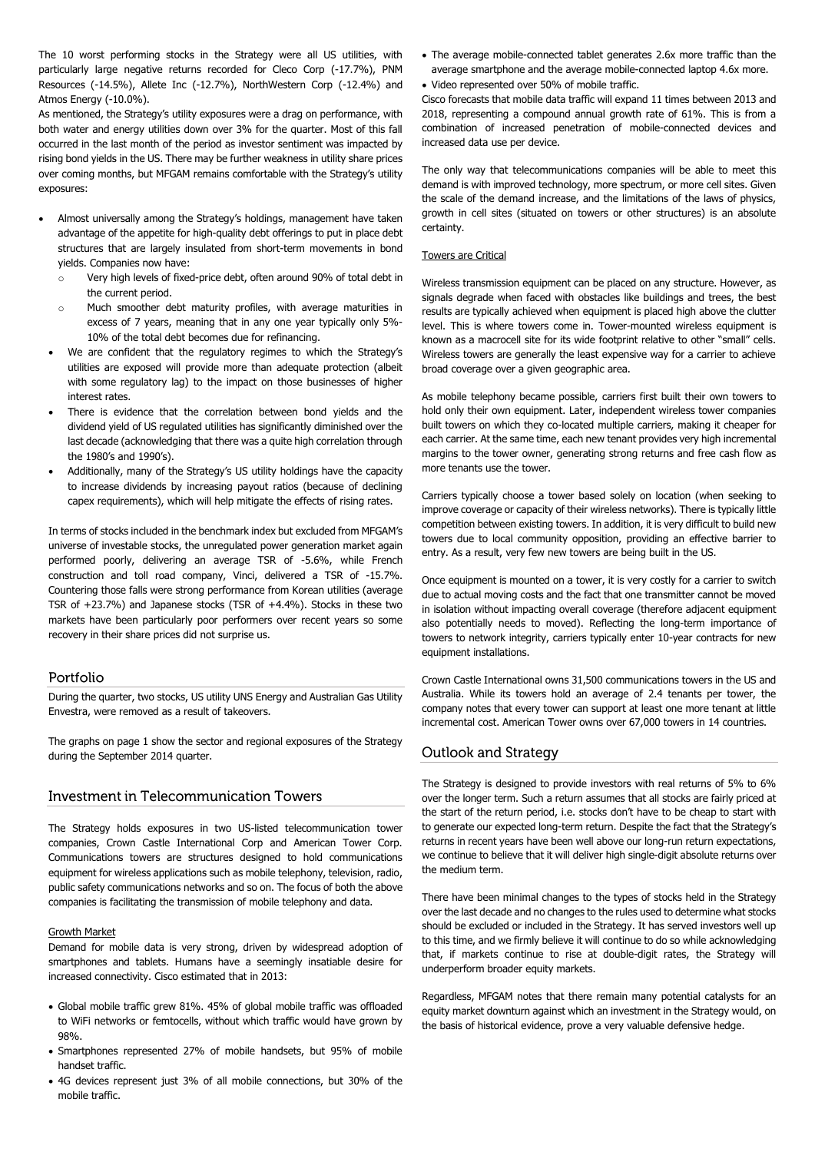The 10 worst performing stocks in the Strategy were all US utilities, with particularly large negative returns recorded for Cleco Corp (-17.7%), PNM Resources (-14.5%), Allete Inc (-12.7%), NorthWestern Corp (-12.4%) and Atmos Energy (-10.0%).

As mentioned, the Strategy's utility exposures were a drag on performance, with both water and energy utilities down over 3% for the quarter. Most of this fall occurred in the last month of the period as investor sentiment was impacted by rising bond yields in the US. There may be further weakness in utility share prices over coming months, but MFGAM remains comfortable with the Strategy's utility exposures:

- Almost universally among the Strategy's holdings, management have taken advantage of the appetite for high-quality debt offerings to put in place debt structures that are largely insulated from short-term movements in bond yields. Companies now have:
	- o Very high levels of fixed-price debt, often around 90% of total debt in the current period.
	- o Much smoother debt maturity profiles, with average maturities in excess of 7 years, meaning that in any one year typically only 5%- 10% of the total debt becomes due for refinancing.
- We are confident that the regulatory regimes to which the Strategy's utilities are exposed will provide more than adequate protection (albeit with some regulatory lag) to the impact on those businesses of higher interest rates.
- There is evidence that the correlation between bond yields and the dividend yield of US regulated utilities has significantly diminished over the last decade (acknowledging that there was a quite high correlation through the 1980's and 1990's).
- Additionally, many of the Strategy's US utility holdings have the capacity to increase dividends by increasing payout ratios (because of declining capex requirements), which will help mitigate the effects of rising rates.

In terms of stocks included in the benchmark index but excluded from MFGAM's universe of investable stocks, the unregulated power generation market again performed poorly, delivering an average TSR of -5.6%, while French construction and toll road company, Vinci, delivered a TSR of -15.7%. Countering those falls were strong performance from Korean utilities (average TSR of +23.7%) and Japanese stocks (TSR of +4.4%). Stocks in these two markets have been particularly poor performers over recent years so some recovery in their share prices did not surprise us.

#### Portfolio

During the quarter, two stocks, US utility UNS Energy and Australian Gas Utility Envestra, were removed as a result of takeovers.

The graphs on page 1 show the sector and regional exposures of the Strategy during the September 2014 quarter.

## Investment in Telecommunication Towers

The Strategy holds exposures in two US-listed telecommunication tower companies, Crown Castle International Corp and American Tower Corp. Communications towers are structures designed to hold communications equipment for wireless applications such as mobile telephony, television, radio, public safety communications networks and so on. The focus of both the above companies is facilitating the transmission of mobile telephony and data.

#### Growth Market

Demand for mobile data is very strong, driven by widespread adoption of smartphones and tablets. Humans have a seemingly insatiable desire for increased connectivity. Cisco estimated that in 2013:

- Global mobile traffic grew 81%. 45% of global mobile traffic was offloaded to WiFi networks or femtocells, without which traffic would have grown by 98%.
- Smartphones represented 27% of mobile handsets, but 95% of mobile handset traffic.
- 4G devices represent just 3% of all mobile connections, but 30% of the mobile traffic.
- The average mobile-connected tablet generates 2.6x more traffic than the average smartphone and the average mobile-connected laptop 4.6x more.
- Video represented over 50% of mobile traffic.

Cisco forecasts that mobile data traffic will expand 11 times between 2013 and 2018, representing a compound annual growth rate of 61%. This is from a combination of increased penetration of mobile-connected devices and increased data use per device.

The only way that telecommunications companies will be able to meet this demand is with improved technology, more spectrum, or more cell sites. Given the scale of the demand increase, and the limitations of the laws of physics, growth in cell sites (situated on towers or other structures) is an absolute certainty.

### Towers are Critical

Wireless transmission equipment can be placed on any structure. However, as signals degrade when faced with obstacles like buildings and trees, the best results are typically achieved when equipment is placed high above the clutter level. This is where towers come in. Tower-mounted wireless equipment is known as a macrocell site for its wide footprint relative to other "small" cells. Wireless towers are generally the least expensive way for a carrier to achieve broad coverage over a given geographic area.

As mobile telephony became possible, carriers first built their own towers to hold only their own equipment. Later, independent wireless tower companies built towers on which they co-located multiple carriers, making it cheaper for each carrier. At the same time, each new tenant provides very high incremental margins to the tower owner, generating strong returns and free cash flow as more tenants use the tower.

Carriers typically choose a tower based solely on location (when seeking to improve coverage or capacity of their wireless networks). There is typically little competition between existing towers. In addition, it is very difficult to build new towers due to local community opposition, providing an effective barrier to entry. As a result, very few new towers are being built in the US.

Once equipment is mounted on a tower, it is very costly for a carrier to switch due to actual moving costs and the fact that one transmitter cannot be moved in isolation without impacting overall coverage (therefore adjacent equipment also potentially needs to moved). Reflecting the long-term importance of towers to network integrity, carriers typically enter 10-year contracts for new equipment installations.

Crown Castle International owns 31,500 communications towers in the US and Australia. While its towers hold an average of 2.4 tenants per tower, the company notes that every tower can support at least one more tenant at little incremental cost. American Tower owns over 67,000 towers in 14 countries.

# Outlook and Strategy

The Strategy is designed to provide investors with real returns of 5% to 6% over the longer term. Such a return assumes that all stocks are fairly priced at the start of the return period, i.e. stocks don't have to be cheap to start with to generate our expected long-term return. Despite the fact that the Strategy's returns in recent years have been well above our long-run return expectations, we continue to believe that it will deliver high single-digit absolute returns over the medium term.

There have been minimal changes to the types of stocks held in the Strategy over the last decade and no changes to the rules used to determine what stocks should be excluded or included in the Strategy. It has served investors well up to this time, and we firmly believe it will continue to do so while acknowledging that, if markets continue to rise at double-digit rates, the Strategy will underperform broader equity markets.

Regardless, MFGAM notes that there remain many potential catalysts for an equity market downturn against which an investment in the Strategy would, on the basis of historical evidence, prove a very valuable defensive hedge.